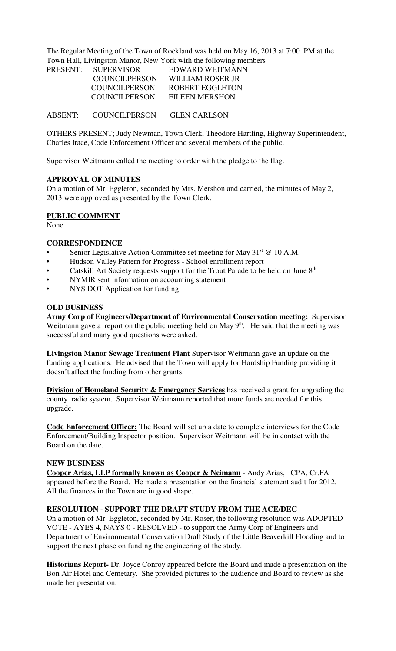The Regular Meeting of the Town of Rockland was held on May 16, 2013 at 7:00 PM at the Town Hall, Livingston Manor, New York with the following members

| PRESENT: | <b>SUPERVISOR</b> | EDWARD WEITMANN  |
|----------|-------------------|------------------|
|          | COUNCILPERSON     | WILLIAM ROSER JR |
|          | COUNCILPERSON     | ROBERT EGGLETON  |
|          | COUNCILPERSON     | EILEEN MERSHON   |
|          |                   |                  |

ABSENT: COUNCILPERSON GLEN CARLSON

OTHERS PRESENT; Judy Newman, Town Clerk, Theodore Hartling, Highway Superintendent, Charles Irace, Code Enforcement Officer and several members of the public.

Supervisor Weitmann called the meeting to order with the pledge to the flag.

## **APPROVAL OF MINUTES**

On a motion of Mr. Eggleton, seconded by Mrs. Mershon and carried, the minutes of May 2, 2013 were approved as presented by the Town Clerk.

#### **PUBLIC COMMENT**

None

#### **CORRESPONDENCE**

- Senior Legislative Action Committee set meeting for May  $31<sup>st</sup>$  @ 10 A.M.
- Hudson Valley Pattern for Progress School enrollment report
- Catskill Art Society requests support for the Trout Parade to be held on June 8<sup>th</sup>
- NYMIR sent information on accounting statement
- NYS DOT Application for funding

#### **OLD BUSINESS**

**Army Corp of Engineers/Department of Environmental Conservation meeting:** Supervisor Weitmann gave a report on the public meeting held on May  $9<sup>th</sup>$ . He said that the meeting was successful and many good questions were asked.

**Livingston Manor Sewage Treatment Plant** Supervisor Weitmann gave an update on the funding applications. He advised that the Town will apply for Hardship Funding providing it doesn't affect the funding from other grants.

**Division of Homeland Security & Emergency Services** has received a grant for upgrading the county radio system. Supervisor Weitmann reported that more funds are needed for this upgrade.

**Code Enforcement Officer:** The Board will set up a date to complete interviews for the Code Enforcement/Building Inspector position. Supervisor Weitmann will be in contact with the Board on the date.

## **NEW BUSINESS**

**Cooper Arias, LLP formally known as Cooper & Neimann** - Andy Arias, CPA, Cr.FA appeared before the Board. He made a presentation on the financial statement audit for 2012. All the finances in the Town are in good shape.

#### **RESOLUTION - SUPPORT THE DRAFT STUDY FROM THE ACE/DEC**

On a motion of Mr. Eggleton, seconded by Mr. Roser, the following resolution was ADOPTED - VOTE - AYES 4, NAYS 0 - RESOLVED - to support the Army Corp of Engineers and Department of Environmental Conservation Draft Study of the Little Beaverkill Flooding and to support the next phase on funding the engineering of the study.

**Historians Report-** Dr. Joyce Conroy appeared before the Board and made a presentation on the Bon Air Hotel and Cemetary. She provided pictures to the audience and Board to review as she made her presentation.